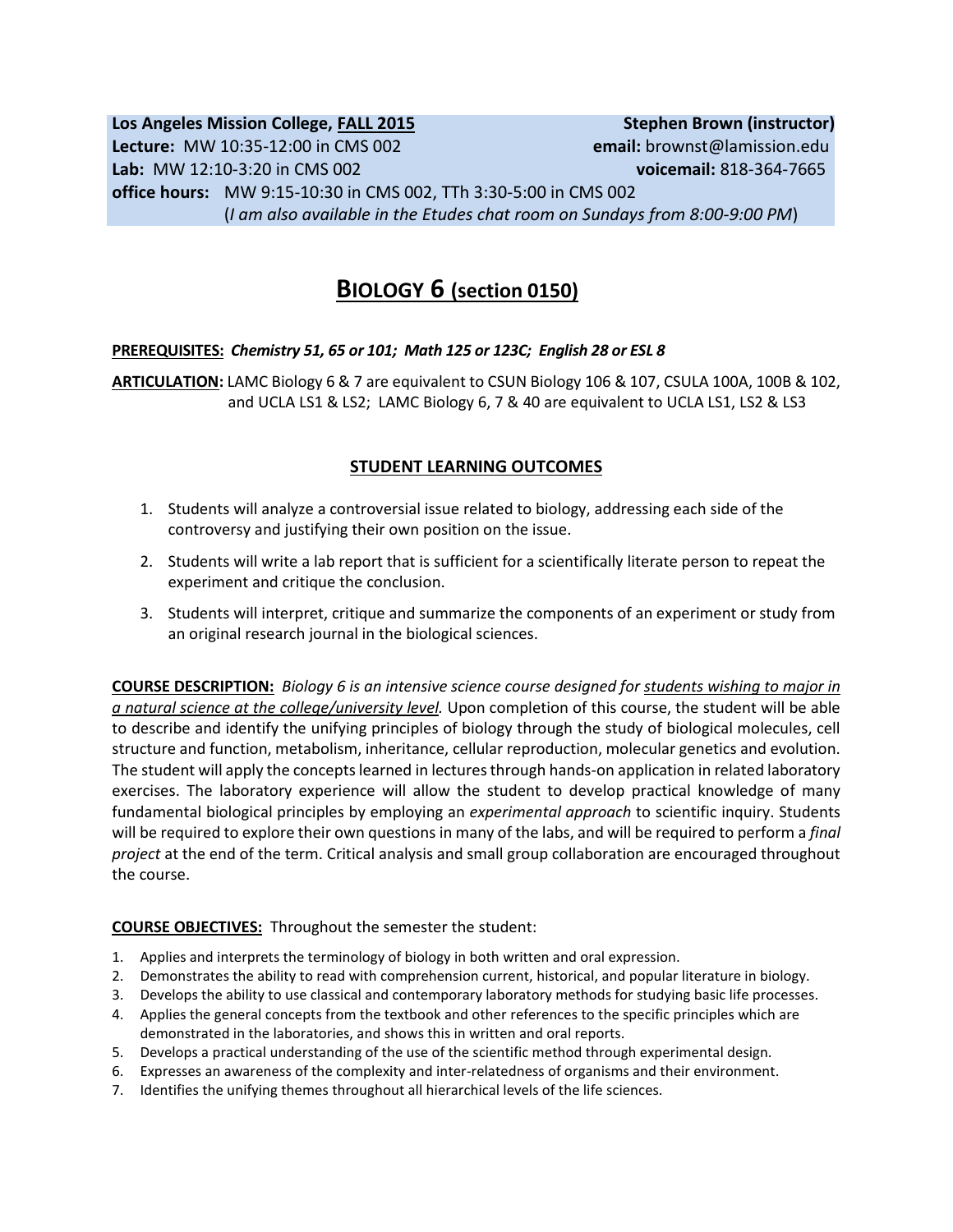# **Los Angeles Mission College, FALL 2015** Stephen Brown (instructor) **Lecture:** MW 10:35-12:00 in CMS 002 **email:** brownst@lamission.edu **Lab:** MW 12:10-3:20 in CMS 002 **voicemail:** 818-364-7665 **office hours:** MW 9:15-10:30 in CMS 002, TTh 3:30-5:00 in CMS 002 (*I am also available in the Etudes chat room on Sundays from 8:00-9:00 PM*)

# **BIOLOGY 6 (section 0150)**

## **PREREQUISITES:** *Chemistry 51, 65 or 101; Math 125 or 123C; English 28 or ESL 8*

**ARTICULATION:** LAMC Biology 6 & 7 are equivalent to CSUN Biology 106 & 107, CSULA 100A, 100B & 102, and UCLA LS1 & LS2; LAMC Biology 6, 7 & 40 are equivalent to UCLA LS1, LS2 & LS3

# **STUDENT LEARNING OUTCOMES**

- 1. Students will analyze a controversial issue related to biology, addressing each side of the controversy and justifying their own position on the issue.
- 2. Students will write a lab report that is sufficient for a scientifically literate person to repeat the experiment and critique the conclusion.
- 3. Students will interpret, critique and summarize the components of an experiment or study from an original research journal in the biological sciences.

**COURSE DESCRIPTION:** *Biology 6 is an intensive science course designed for students wishing to major in a natural science at the college/university level.* Upon completion of this course, the student will be able to describe and identify the unifying principles of biology through the study of biological molecules, cell structure and function, metabolism, inheritance, cellular reproduction, molecular genetics and evolution. The student will apply the concepts learned in lectures through hands-on application in related laboratory exercises. The laboratory experience will allow the student to develop practical knowledge of many fundamental biological principles by employing an *experimental approach* to scientific inquiry. Students will be required to explore their own questions in many of the labs, and will be required to perform a *final project* at the end of the term. Critical analysis and small group collaboration are encouraged throughout the course.

## **COURSE OBJECTIVES:** Throughout the semester the student:

- 1. Applies and interprets the terminology of biology in both written and oral expression.
- 2. Demonstrates the ability to read with comprehension current, historical, and popular literature in biology.
- 3. Develops the ability to use classical and contemporary laboratory methods for studying basic life processes.
- 4. Applies the general concepts from the textbook and other references to the specific principles which are demonstrated in the laboratories, and shows this in written and oral reports.
- 5. Develops a practical understanding of the use of the scientific method through experimental design.
- 6. Expresses an awareness of the complexity and inter-relatedness of organisms and their environment.
- 7. Identifies the unifying themes throughout all hierarchical levels of the life sciences.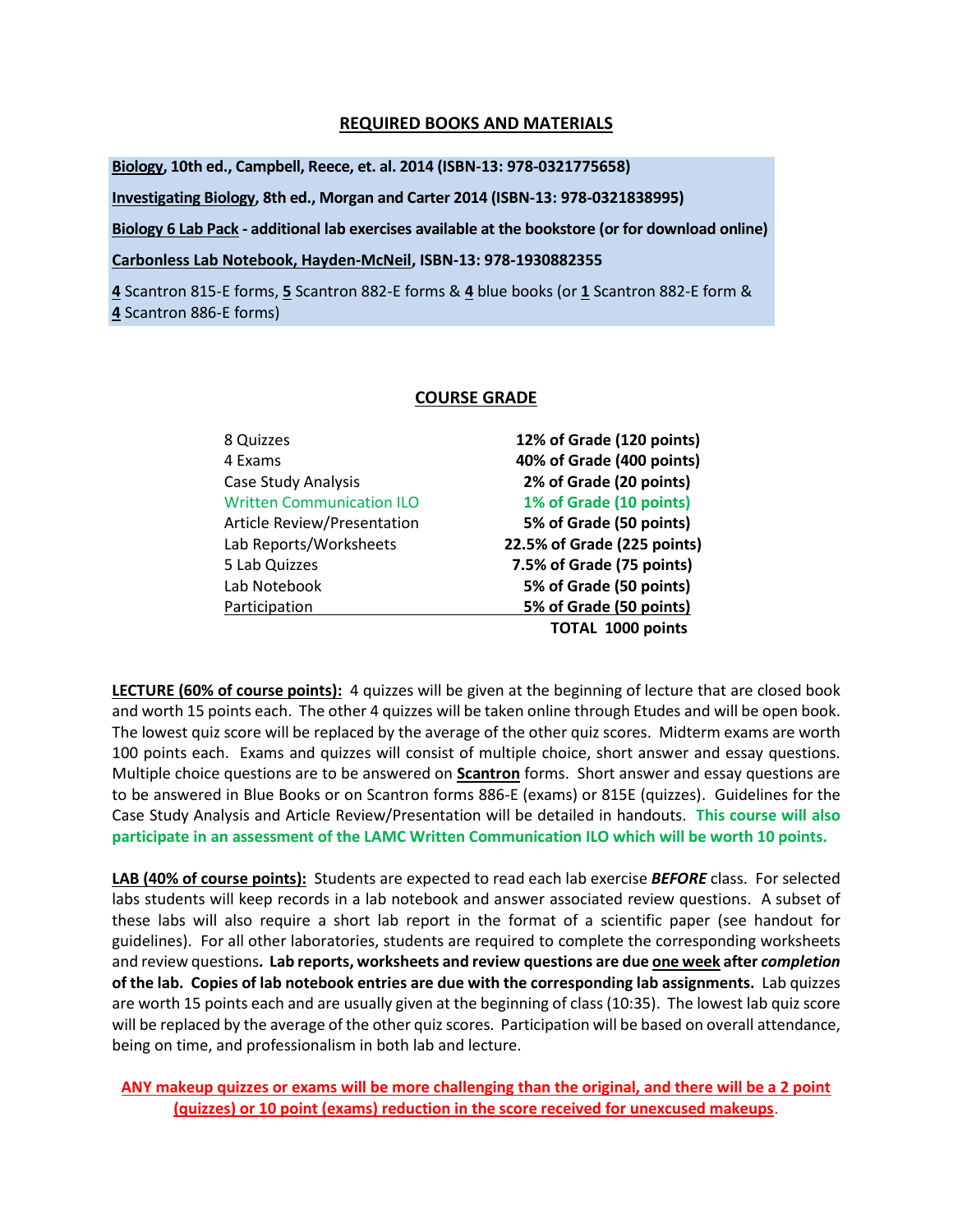### **REQUIRED BOOKS AND MATERIALS**

**Biology, 10th ed., Campbell, Reece, et. al. 2014 (ISBN-13: 978-0321775658)**

**Investigating Biology, 8th ed., Morgan and Carter 2014 (ISBN-13: 978-0321838995)**

**Biology 6 Lab Pack - additional lab exercises available at the bookstore (or for download online)**

**Carbonless Lab Notebook, Hayden-McNeil, ISBN-13: 978-1930882355**

**4** Scantron 815-E forms, **5** Scantron 882-E forms & **4** blue books (or **1** Scantron 882-E form & **4** Scantron 886-E forms)

### **COURSE GRADE**

| 8 Quizzes                          | 12% of Grade (120 points)   |
|------------------------------------|-----------------------------|
| 4 Exams                            | 40% of Grade (400 points)   |
| Case Study Analysis                | 2% of Grade (20 points)     |
| <b>Written Communication ILO</b>   | 1% of Grade (10 points)     |
| <b>Article Review/Presentation</b> | 5% of Grade (50 points)     |
| Lab Reports/Worksheets             | 22.5% of Grade (225 points) |
| 5 Lab Quizzes                      | 7.5% of Grade (75 points)   |
| Lab Notebook                       | 5% of Grade (50 points)     |
| Participation                      | 5% of Grade (50 points)     |
|                                    | <b>TOTAL 1000 points</b>    |
|                                    |                             |

**LECTURE (60% of course points):** 4 quizzes will be given at the beginning of lecture that are closed book and worth 15 points each.The other 4 quizzes will be taken online through Etudes and will be open book. The lowest quiz score will be replaced by the average of the other quiz scores. Midterm exams are worth 100 points each. Exams and quizzes will consist of multiple choice, short answer and essay questions. Multiple choice questions are to be answered on **Scantron** forms. Short answer and essay questions are to be answered in Blue Books or on Scantron forms 886-E (exams) or 815E (quizzes). Guidelines for the Case Study Analysis and Article Review/Presentation will be detailed in handouts. **This course will also participate in an assessment of the LAMC Written Communication ILO which will be worth 10 points.**

**LAB (40% of course points):** Students are expected to read each lab exercise *BEFORE* class. For selected labs students will keep records in a lab notebook and answer associated review questions. A subset of these labs will also require a short lab report in the format of a scientific paper (see handout for guidelines). For all other laboratories, students are required to complete the corresponding worksheets and review questions**. Lab reports, worksheets and review questions are due one week after** *completion* **of the lab. Copies of lab notebook entries are due with the corresponding lab assignments.** Lab quizzes are worth 15 points each and are usually given at the beginning of class (10:35). The lowest lab quiz score will be replaced by the average of the other quiz scores. Participation will be based on overall attendance, being on time, and professionalism in both lab and lecture.

**ANY makeup quizzes or exams will be more challenging than the original, and there will be a 2 point (quizzes) or 10 point (exams) reduction in the score received for unexcused makeups**.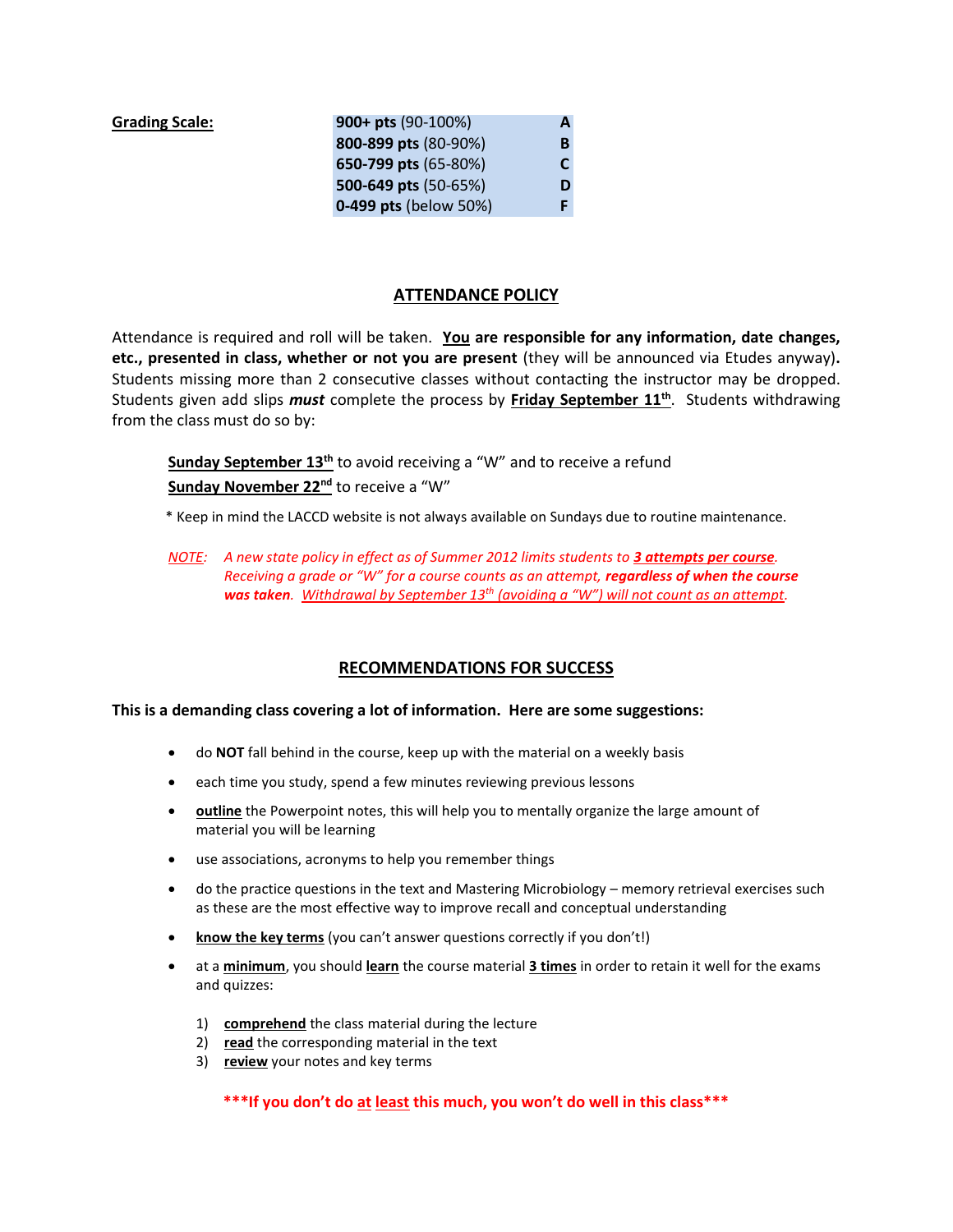| <b>Grading Scale:</b> | 900+ pts $(90-100%)$  | А |
|-----------------------|-----------------------|---|
|                       | 800-899 pts (80-90%)  | B |
|                       | 650-799 pts (65-80%)  | C |
|                       | 500-649 pts (50-65%)  | D |
|                       | 0-499 pts (below 50%) |   |

### **ATTENDANCE POLICY**

Attendance is required and roll will be taken. **You are responsible for any information, date changes, etc., presented in class, whether or not you are present** (they will be announced via Etudes anyway)**.**  Students missing more than 2 consecutive classes without contacting the instructor may be dropped. Students given add slips *must* complete the process by **Friday September 11th** . Students withdrawing from the class must do so by:

**Sunday September 13th** to avoid receiving a "W" and to receive a refund **Sunday November 22nd** to receive a "W"

\* Keep in mind the LACCD website is not always available on Sundays due to routine maintenance.

*NOTE: A new state policy in effect as of Summer 2012 limits students to 3 attempts per course*. *Receiving a grade or "W" for a course counts as an attempt, regardless of when the course was taken. Withdrawal by September 13th (avoiding a "W") will not count as an attempt.* 

## **RECOMMENDATIONS FOR SUCCESS**

#### **This is a demanding class covering a lot of information. Here are some suggestions:**

- do **NOT** fall behind in the course, keep up with the material on a weekly basis
- each time you study, spend a few minutes reviewing previous lessons
- **outline** the Powerpoint notes, this will help you to mentally organize the large amount of material you will be learning
- use associations, acronyms to help you remember things
- do the practice questions in the text and Mastering Microbiology memory retrieval exercises such as these are the most effective way to improve recall and conceptual understanding
- **know the key terms** (you can't answer questions correctly if you don't!)
- at a **minimum**, you should **learn** the course material **3 times** in order to retain it well for the exams and quizzes:
	- 1) **comprehend** the class material during the lecture
	- 2) **read** the corresponding material in the text
	- 3) **review** your notes and key terms

**\*\*\*If you don't do at least this much, you won't do well in this class\*\*\***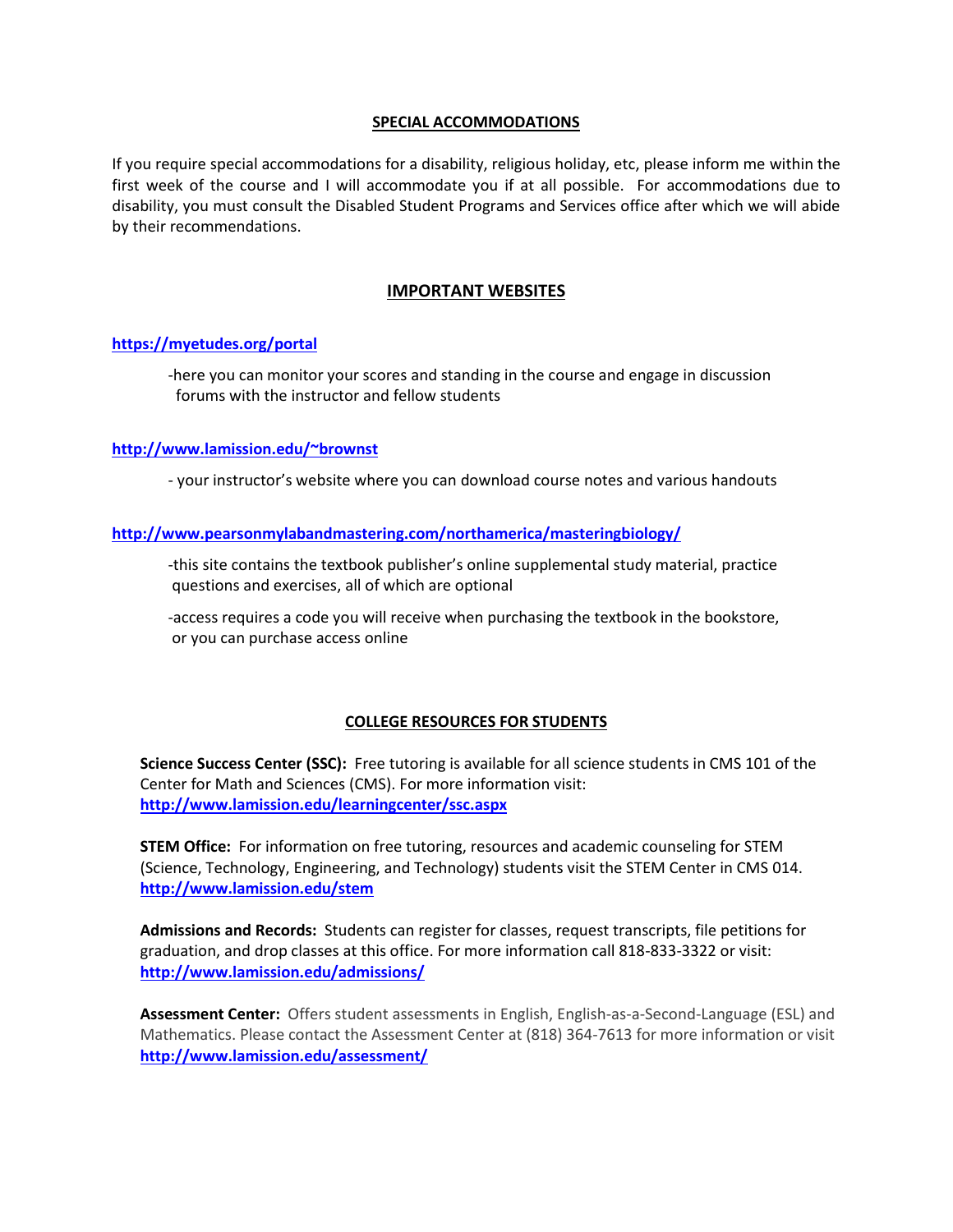#### **SPECIAL ACCOMMODATIONS**

If you require special accommodations for a disability, religious holiday, etc, please inform me within the first week of the course and I will accommodate you if at all possible. For accommodations due to disability, you must consult the Disabled Student Programs and Services office after which we will abide by their recommendations.

## **IMPORTANT WEBSITES**

### **<https://myetudes.org/portal>**

-here you can monitor your scores and standing in the course and engage in discussion forums with the instructor and fellow students

### **<http://www.lamission.edu/~brownst>**

- your instructor's website where you can download course notes and various handouts

### **<http://www.pearsonmylabandmastering.com/northamerica/masteringbiology/>**

-this site contains the textbook publisher's online supplemental study material, practice questions and exercises, all of which are optional

-access requires a code you will receive when purchasing the textbook in the bookstore, or you can purchase access online

### **COLLEGE RESOURCES FOR STUDENTS**

**Science Success Center (SSC):** Free tutoring is available for all science students in CMS 101 of the Center for Math and Sciences (CMS). For more information visit: **[http://www.lamission.edu/learningcenter/ssc.aspx](https://eagle.lamission.edu/owa/redir.aspx?C=BRyV192Rz06N9snIKGfAqfvEXUek5tAIqy-vJtaATsUpkSO2JPPRBPHBemZtFAYrKAkP0w0joWc.&URL=http%3a%2f%2fwww.lamission.edu%2flearningcenter%2fssc.aspx)**

**STEM Office:** For information on free tutoring, resources and academic counseling for STEM (Science, Technology, Engineering, and Technology) students visit the STEM Center in CMS 014. **[http://www.lamission.edu/stem](https://eagle.lamission.edu/owa/redir.aspx?C=BRyV192Rz06N9snIKGfAqfvEXUek5tAIqy-vJtaATsUpkSO2JPPRBPHBemZtFAYrKAkP0w0joWc.&URL=http%3a%2f%2fwww.lamission.edu%2fstem)**

**Admissions and Records:** Students can register for classes, request transcripts, file petitions for graduation, and drop classes at this office. For more information call 818-833-3322 or visit: **[http://www.lamission.edu/admissions/](https://eagle.lamission.edu/owa/redir.aspx?C=BRyV192Rz06N9snIKGfAqfvEXUek5tAIqy-vJtaATsUpkSO2JPPRBPHBemZtFAYrKAkP0w0joWc.&URL=http%3a%2f%2fwww.lamission.edu%2fadmissions%2f)**

**Assessment Center:** Offers student assessments in English, English-as-a-Second-Language (ESL) and Mathematics. Please contact the Assessment Center at (818) 364-7613 for more information or visit **[http://www.lamission.edu/assessment/](https://eagle.lamission.edu/owa/redir.aspx?C=BRyV192Rz06N9snIKGfAqfvEXUek5tAIqy-vJtaATsUpkSO2JPPRBPHBemZtFAYrKAkP0w0joWc.&URL=http%3a%2f%2fwww.lamission.edu%2fassessment%2f)**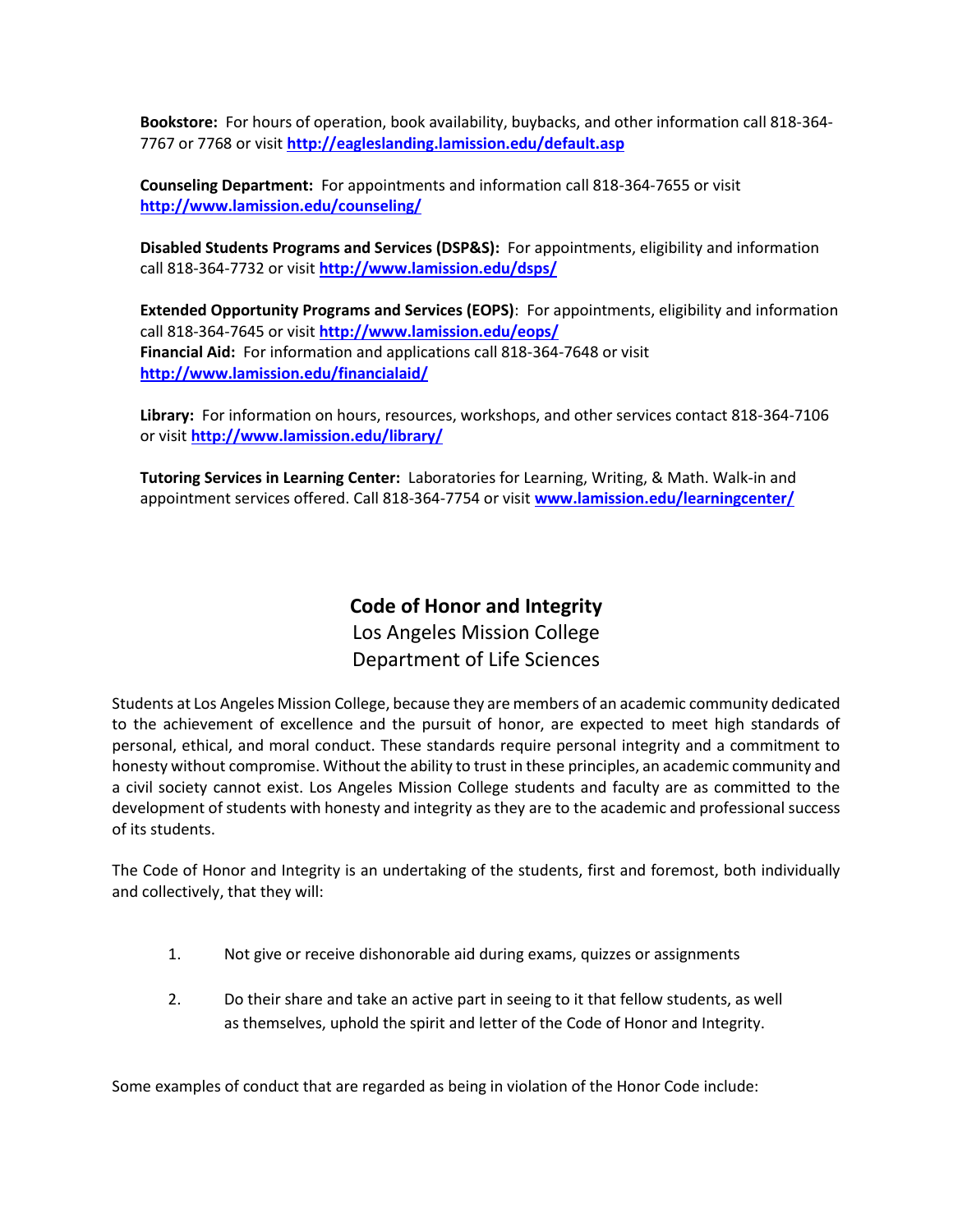**Bookstore:** For hours of operation, book availability, buybacks, and other information call 818-364- 7767 or 7768 or visit **[http://eagleslanding.lamission.edu/default.asp](https://eagle.lamission.edu/owa/redir.aspx?C=BRyV192Rz06N9snIKGfAqfvEXUek5tAIqy-vJtaATsUpkSO2JPPRBPHBemZtFAYrKAkP0w0joWc.&URL=http%3a%2f%2feagleslanding.lamission.edu%2fdefault.asp)**

**Counseling Department:** For appointments and information call 818-364-7655 or visit **[http://www.lamission.edu/counseling/](https://eagle.lamission.edu/owa/redir.aspx?C=BRyV192Rz06N9snIKGfAqfvEXUek5tAIqy-vJtaATsUpkSO2JPPRBPHBemZtFAYrKAkP0w0joWc.&URL=http%3a%2f%2fwww.lamission.edu%2fcounseling%2f)**

**Disabled Students Programs and Services (DSP&S):** For appointments, eligibility and information call 818-364-7732 or visit **[http://www.lamission.edu/dsps/](https://eagle.lamission.edu/owa/redir.aspx?C=BRyV192Rz06N9snIKGfAqfvEXUek5tAIqy-vJtaATsUpkSO2JPPRBPHBemZtFAYrKAkP0w0joWc.&URL=http%3a%2f%2fwww.lamission.edu%2fdsps%2f)**

**Extended Opportunity Programs and Services (EOPS)**: For appointments, eligibility and information call 818-364-7645 or visit **[http://www.lamission.edu/eops/](https://eagle.lamission.edu/owa/redir.aspx?C=BRyV192Rz06N9snIKGfAqfvEXUek5tAIqy-vJtaATsUpkSO2JPPRBPHBemZtFAYrKAkP0w0joWc.&URL=http%3a%2f%2fwww.lamission.edu%2feops%2f) Financial Aid:** For information and applications call 818-364-7648 or visit **[http://www.lamission.edu/financialaid/](https://eagle.lamission.edu/owa/redir.aspx?C=BRyV192Rz06N9snIKGfAqfvEXUek5tAIqy-vJtaATsUpkSO2JPPRBPHBemZtFAYrKAkP0w0joWc.&URL=http%3a%2f%2fwww.lamission.edu%2ffinancialaid%2f)**

**Library:** For information on hours, resources, workshops, and other services contact 818-364-7106 or visit **[http://www.lamission.edu/library/](https://eagle.lamission.edu/owa/redir.aspx?C=BRyV192Rz06N9snIKGfAqfvEXUek5tAIqy-vJtaATsUpkSO2JPPRBPHBemZtFAYrKAkP0w0joWc.&URL=http%3a%2f%2fwww.lamission.edu%2flibrary%2f)**

**Tutoring Services in Learning Center:** Laboratories for Learning, Writing, & Math. Walk-in and appointment services offered. Call 818-364-7754 or visit **[www.lamission.edu/learningcenter/](https://eagle.lamission.edu/owa/redir.aspx?C=BRyV192Rz06N9snIKGfAqfvEXUek5tAIqy-vJtaATsUpkSO2JPPRBPHBemZtFAYrKAkP0w0joWc.&URL=http%3a%2f%2fwww.lamission.edu%2flearningcenter%2f)**

# **Code of Honor and Integrity** Los Angeles Mission College Department of Life Sciences

Students at Los Angeles Mission College, because they are members of an academic community dedicated to the achievement of excellence and the pursuit of honor, are expected to meet high standards of personal, ethical, and moral conduct. These standards require personal integrity and a commitment to honesty without compromise. Without the ability to trust in these principles, an academic community and a civil society cannot exist. Los Angeles Mission College students and faculty are as committed to the development of students with honesty and integrity as they are to the academic and professional success of its students.

The Code of Honor and Integrity is an undertaking of the students, first and foremost, both individually and collectively, that they will:

- 1. Not give or receive dishonorable aid during exams, quizzes or assignments
- 2. Do their share and take an active part in seeing to it that fellow students, as well as themselves, uphold the spirit and letter of the Code of Honor and Integrity.

Some examples of conduct that are regarded as being in violation of the Honor Code include: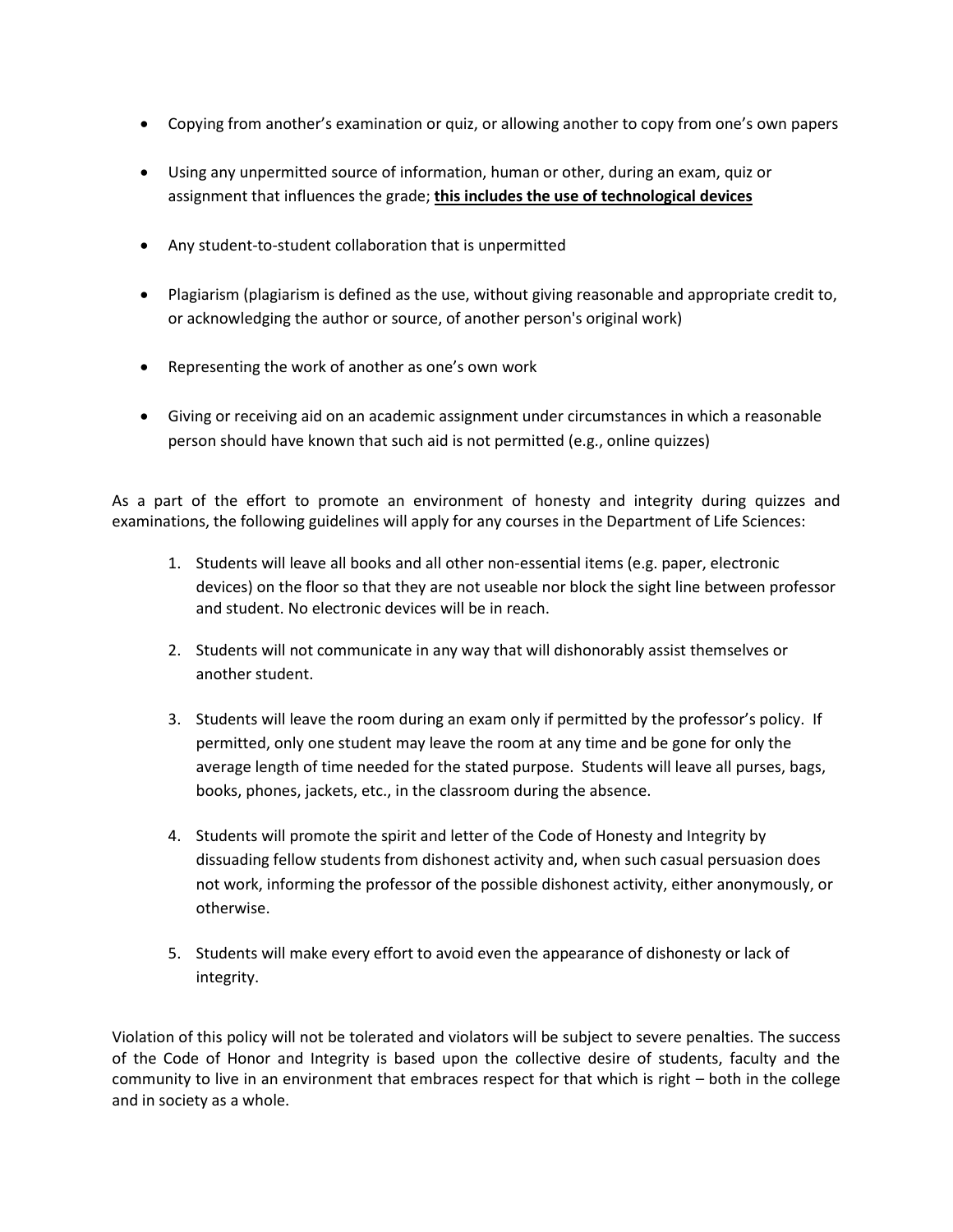- Copying from another's examination or quiz, or allowing another to copy from one's own papers
- Using any unpermitted source of information, human or other, during an exam, quiz or assignment that influences the grade; **this includes the use of technological devices**
- Any student-to-student collaboration that is unpermitted
- Plagiarism (plagiarism is defined as the use, without giving reasonable and appropriate credit to, or acknowledging the author or source, of another person's original work)
- Representing the work of another as one's own work
- Giving or receiving aid on an academic assignment under circumstances in which a reasonable person should have known that such aid is not permitted (e.g., online quizzes)

As a part of the effort to promote an environment of honesty and integrity during quizzes and examinations, the following guidelines will apply for any courses in the Department of Life Sciences:

- 1. Students will leave all books and all other non-essential items (e.g. paper, electronic devices) on the floor so that they are not useable nor block the sight line between professor and student. No electronic devices will be in reach.
- 2. Students will not communicate in any way that will dishonorably assist themselves or another student.
- 3. Students will leave the room during an exam only if permitted by the professor's policy. If permitted, only one student may leave the room at any time and be gone for only the average length of time needed for the stated purpose. Students will leave all purses, bags, books, phones, jackets, etc., in the classroom during the absence.
- 4. Students will promote the spirit and letter of the Code of Honesty and Integrity by dissuading fellow students from dishonest activity and, when such casual persuasion does not work, informing the professor of the possible dishonest activity, either anonymously, or otherwise.
- 5. Students will make every effort to avoid even the appearance of dishonesty or lack of integrity.

Violation of this policy will not be tolerated and violators will be subject to severe penalties. The success of the Code of Honor and Integrity is based upon the collective desire of students, faculty and the community to live in an environment that embraces respect for that which is right – both in the college and in society as a whole.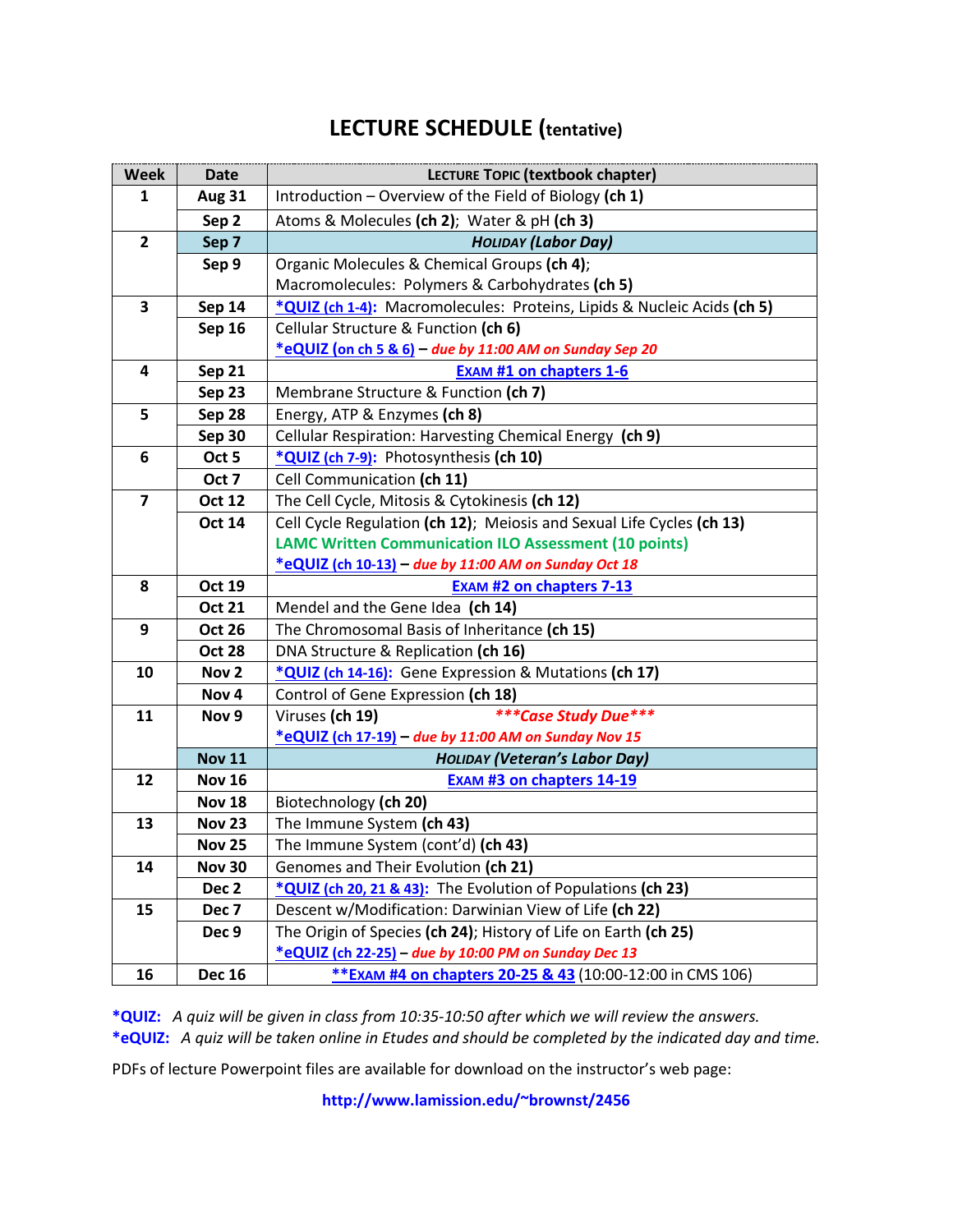# **LECTURE SCHEDULE (tentative)**

| <b>Week</b>             | <b>Date</b>               | LECTURE TOPIC (textbook chapter)                                                                                          |  |  |  |  |  |  |
|-------------------------|---------------------------|---------------------------------------------------------------------------------------------------------------------------|--|--|--|--|--|--|
| 1                       | <b>Aug 31</b>             | Introduction - Overview of the Field of Biology (ch 1)                                                                    |  |  |  |  |  |  |
|                         | Sep 2                     | Atoms & Molecules (ch 2); Water & pH (ch 3)                                                                               |  |  |  |  |  |  |
| $\overline{2}$          | Sep 7                     | <b>HOLIDAY (Labor Day)</b>                                                                                                |  |  |  |  |  |  |
|                         | Sep 9                     | Organic Molecules & Chemical Groups (ch 4);                                                                               |  |  |  |  |  |  |
|                         |                           | Macromolecules: Polymers & Carbohydrates (ch 5)                                                                           |  |  |  |  |  |  |
| $\overline{\mathbf{3}}$ | <b>Sep 14</b>             | *QUIZ (ch 1-4): Macromolecules: Proteins, Lipids & Nucleic Acids (ch 5)                                                   |  |  |  |  |  |  |
|                         | Sep 16                    | Cellular Structure & Function (ch 6)                                                                                      |  |  |  |  |  |  |
|                         |                           | $*$ eQUIZ (on ch 5 & 6) – due by 11:00 AM on Sunday Sep 20                                                                |  |  |  |  |  |  |
| 4                       | Sep 21                    | <b>EXAM #1 on chapters 1-6</b>                                                                                            |  |  |  |  |  |  |
|                         | Sep 23                    | Membrane Structure & Function (ch 7)                                                                                      |  |  |  |  |  |  |
| 5                       | Sep 28                    | Energy, ATP & Enzymes (ch 8)                                                                                              |  |  |  |  |  |  |
|                         | Sep 30                    | Cellular Respiration: Harvesting Chemical Energy (ch 9)                                                                   |  |  |  |  |  |  |
| 6                       | Oct 5                     | *QUIZ (ch 7-9): Photosynthesis (ch 10)                                                                                    |  |  |  |  |  |  |
|                         | Oct 7                     | Cell Communication (ch 11)                                                                                                |  |  |  |  |  |  |
| $\overline{7}$          | <b>Oct 12</b>             | The Cell Cycle, Mitosis & Cytokinesis (ch 12)                                                                             |  |  |  |  |  |  |
|                         | <b>Oct 14</b>             | Cell Cycle Regulation (ch 12); Meiosis and Sexual Life Cycles (ch 13)                                                     |  |  |  |  |  |  |
|                         |                           | <b>LAMC Written Communication ILO Assessment (10 points)</b>                                                              |  |  |  |  |  |  |
|                         |                           | *eQUIZ (ch 10-13) - due by 11:00 AM on Sunday Oct 18                                                                      |  |  |  |  |  |  |
| 8                       | <b>Oct 19</b>             | <b>EXAM #2 on chapters 7-13</b>                                                                                           |  |  |  |  |  |  |
|                         | <b>Oct 21</b>             | Mendel and the Gene Idea (ch 14)                                                                                          |  |  |  |  |  |  |
| 9                       | <b>Oct 26</b>             | The Chromosomal Basis of Inheritance (ch 15)                                                                              |  |  |  |  |  |  |
|                         | <b>Oct 28</b>             | DNA Structure & Replication (ch 16)                                                                                       |  |  |  |  |  |  |
| 10                      | Nov <sub>2</sub>          | *QUIZ (ch 14-16): Gene Expression & Mutations (ch 17)                                                                     |  |  |  |  |  |  |
|                         | Nov <sub>4</sub>          | Control of Gene Expression (ch 18)                                                                                        |  |  |  |  |  |  |
| 11                      | Nov <sub>9</sub>          | ***Case Study Due***<br>Viruses (ch 19)                                                                                   |  |  |  |  |  |  |
|                         |                           | *eQUIZ (ch 17-19) - due by 11:00 AM on Sunday Nov 15                                                                      |  |  |  |  |  |  |
|                         | <b>Nov 11</b>             | <b>HOLIDAY (Veteran's Labor Day)</b>                                                                                      |  |  |  |  |  |  |
| 12                      | <b>Nov 16</b>             | <b>EXAM #3 on chapters 14-19</b>                                                                                          |  |  |  |  |  |  |
|                         | <b>Nov 18</b>             | Biotechnology (ch 20)                                                                                                     |  |  |  |  |  |  |
| 13                      | <b>Nov 23</b>             | The Immune System (ch 43)                                                                                                 |  |  |  |  |  |  |
|                         | <b>Nov 25</b>             | The Immune System (cont'd) (ch 43)                                                                                        |  |  |  |  |  |  |
| 14                      | <b>Nov 30</b>             | Genomes and Their Evolution (ch 21)                                                                                       |  |  |  |  |  |  |
|                         | Dec <sub>2</sub>          | *QUIZ (ch 20, 21 & 43): The Evolution of Populations (ch 23)                                                              |  |  |  |  |  |  |
| 15                      | Dec <sub>7</sub><br>Dec 9 | Descent w/Modification: Darwinian View of Life (ch 22)<br>The Origin of Species (ch 24); History of Life on Earth (ch 25) |  |  |  |  |  |  |
|                         |                           | *eQUIZ (ch 22-25) - due by 10:00 PM on Sunday Dec 13                                                                      |  |  |  |  |  |  |
| 16                      | <b>Dec 16</b>             | ** EXAM #4 on chapters 20-25 & 43 (10:00-12:00 in CMS 106)                                                                |  |  |  |  |  |  |
|                         |                           |                                                                                                                           |  |  |  |  |  |  |

**\*QUIZ:** *A quiz will be given in class from 10:35-10:50 after which we will review the answers.*  **\*eQUIZ:** *A quiz will be taken online in Etudes and should be completed by the indicated day and time.* 

PDFs of lecture Powerpoint files are available for download on the instructor's web page:

**http://www.lamission.edu/~brownst/2456**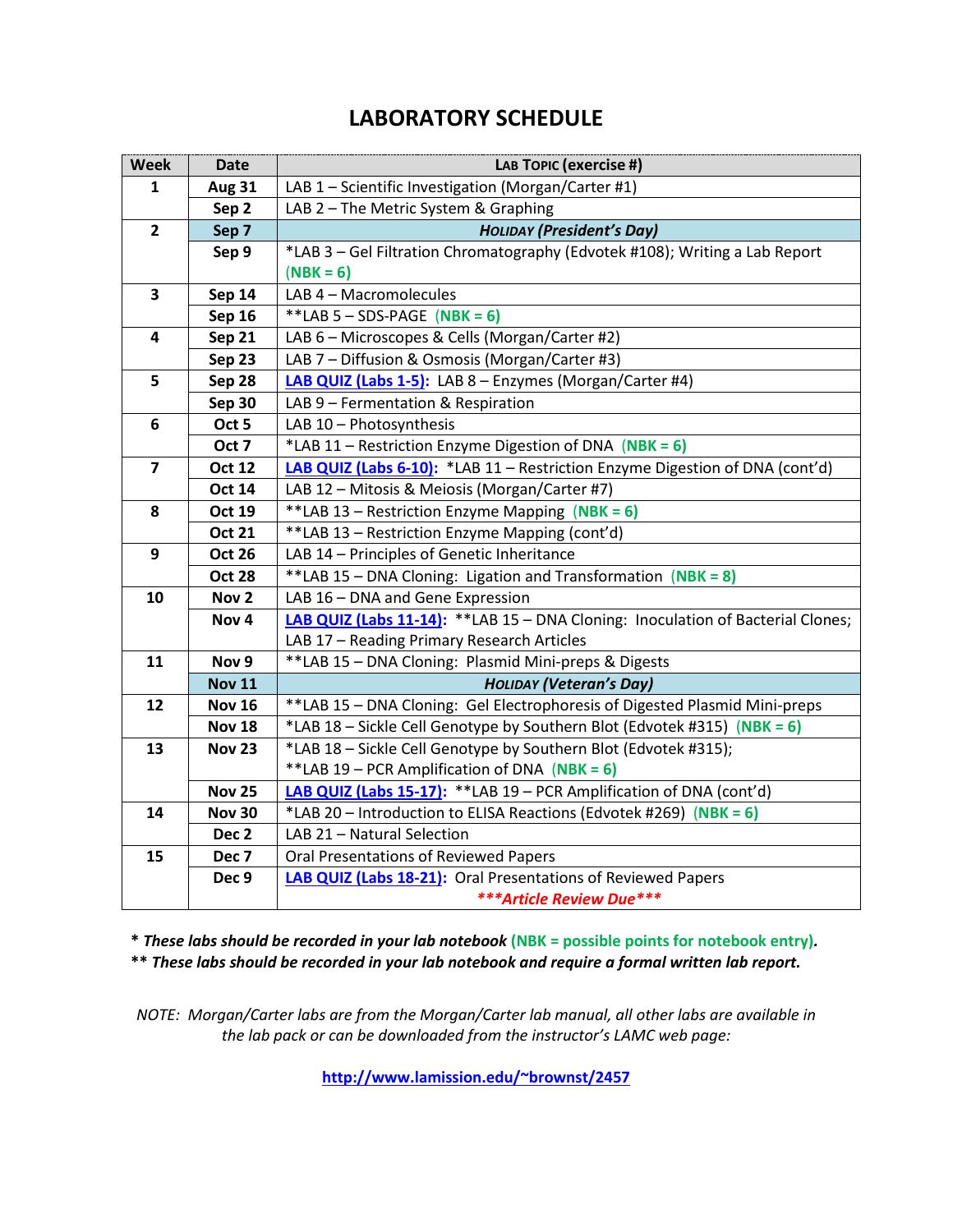# **LABORATORY SCHEDULE**

| Week                    | <b>Date</b>      | LAB TOPIC (exercise #)                                                          |  |  |  |
|-------------------------|------------------|---------------------------------------------------------------------------------|--|--|--|
| 1                       | <b>Aug 31</b>    | LAB 1 - Scientific Investigation (Morgan/Carter #1)                             |  |  |  |
|                         | Sep 2            | LAB 2 - The Metric System & Graphing                                            |  |  |  |
| $\overline{2}$          | Sep 7            | <b>HOLIDAY (President's Day)</b>                                                |  |  |  |
|                         | Sep 9            | *LAB 3 - Gel Filtration Chromatography (Edvotek #108); Writing a Lab Report     |  |  |  |
|                         |                  | $(NBK = 6)$                                                                     |  |  |  |
| $\overline{\mathbf{3}}$ | Sep 14           | LAB 4 - Macromolecules                                                          |  |  |  |
|                         | <b>Sep 16</b>    | **LAB 5 - SDS-PAGE (NBK = 6)                                                    |  |  |  |
| $\overline{\mathbf{4}}$ | Sep 21           | LAB 6 - Microscopes & Cells (Morgan/Carter #2)                                  |  |  |  |
|                         | Sep 23           | LAB 7 - Diffusion & Osmosis (Morgan/Carter #3)                                  |  |  |  |
| 5                       | Sep 28           | LAB QUIZ (Labs 1-5): LAB 8 - Enzymes (Morgan/Carter #4)                         |  |  |  |
|                         | Sep 30           | LAB 9 - Fermentation & Respiration                                              |  |  |  |
| 6                       | Oct 5            | LAB 10 - Photosynthesis                                                         |  |  |  |
|                         | Oct 7            | *LAB 11 - Restriction Enzyme Digestion of DNA (NBK = 6)                         |  |  |  |
| $\overline{7}$          | <b>Oct 12</b>    | LAB QUIZ (Labs 6-10): *LAB 11 - Restriction Enzyme Digestion of DNA (cont'd)    |  |  |  |
|                         | <b>Oct 14</b>    | LAB 12 - Mitosis & Meiosis (Morgan/Carter #7)                                   |  |  |  |
| 8                       | <b>Oct 19</b>    | **LAB 13 - Restriction Enzyme Mapping (NBK = 6)                                 |  |  |  |
|                         | <b>Oct 21</b>    | **LAB 13 - Restriction Enzyme Mapping (cont'd)                                  |  |  |  |
| 9                       | <b>Oct 26</b>    | LAB 14 - Principles of Genetic Inheritance                                      |  |  |  |
|                         | <b>Oct 28</b>    | **LAB 15 - DNA Cloning: Ligation and Transformation (NBK = 8)                   |  |  |  |
| 10                      | Nov <sub>2</sub> | LAB 16 - DNA and Gene Expression                                                |  |  |  |
|                         | Nov <sub>4</sub> | LAB QUIZ (Labs 11-14): **LAB 15 - DNA Cloning: Inoculation of Bacterial Clones; |  |  |  |
|                         |                  | LAB 17 - Reading Primary Research Articles                                      |  |  |  |
| 11                      | Nov 9            | **LAB 15 - DNA Cloning: Plasmid Mini-preps & Digests                            |  |  |  |
|                         | <b>Nov 11</b>    | <b>HOLIDAY (Veteran's Day)</b>                                                  |  |  |  |
| 12                      | <b>Nov 16</b>    | **LAB 15 - DNA Cloning: Gel Electrophoresis of Digested Plasmid Mini-preps      |  |  |  |
|                         | <b>Nov 18</b>    | *LAB 18 - Sickle Cell Genotype by Southern Blot (Edvotek #315) (NBK = 6)        |  |  |  |
| 13                      | <b>Nov 23</b>    | *LAB 18 - Sickle Cell Genotype by Southern Blot (Edvotek #315);                 |  |  |  |
|                         |                  | **LAB 19 - PCR Amplification of DNA (NBK = 6)                                   |  |  |  |
|                         | <b>Nov 25</b>    | LAB QUIZ (Labs 15-17): ** LAB 19 - PCR Amplification of DNA (cont'd)            |  |  |  |
| 14                      | <b>Nov 30</b>    | *LAB 20 - Introduction to ELISA Reactions (Edvotek #269) (NBK = 6)              |  |  |  |
|                         | Dec <sub>2</sub> | LAB 21 - Natural Selection                                                      |  |  |  |
| 15                      | Dec <sub>7</sub> | <b>Oral Presentations of Reviewed Papers</b>                                    |  |  |  |
|                         | Dec 9            | LAB QUIZ (Labs 18-21): Oral Presentations of Reviewed Papers                    |  |  |  |
|                         |                  | <b>***Article Review Due***</b>                                                 |  |  |  |

**\*** *These labs should be recorded in your lab notebook* **(NBK = possible points for notebook entry)***.* **\*\*** *These labs should be recorded in your lab notebook and require a formal written lab report.*

*NOTE: Morgan/Carter labs are from the Morgan/Carter lab manual, all other labs are available in the lab pack or can be downloaded from the instructor's LAMC web page:*

**<http://www.lamission.edu/~brownst/2457>**